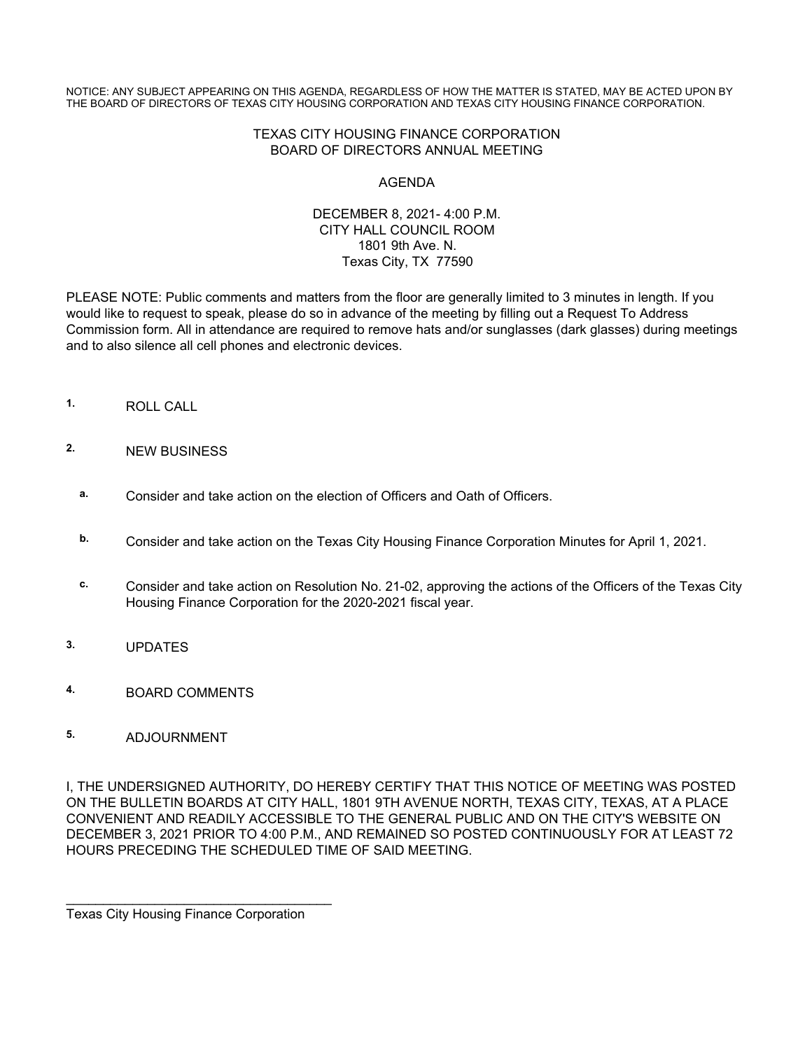NOTICE: ANY SUBJECT APPEARING ON THIS AGENDA, REGARDLESS OF HOW THE MATTER IS STATED, MAY BE ACTED UPON BY THE BOARD OF DIRECTORS OF TEXAS CITY HOUSING CORPORATION AND TEXAS CITY HOUSING FINANCE CORPORATION.

#### TEXAS CITY HOUSING FINANCE CORPORATION BOARD OF DIRECTORS ANNUAL MEETING

#### AGENDA

#### DECEMBER 8, 2021- 4:00 P.M. CITY HALL COUNCIL ROOM 1801 9th Ave. N. Texas City, TX 77590

PLEASE NOTE: Public comments and matters from the floor are generally limited to 3 minutes in length. If you would like to request to speak, please do so in advance of the meeting by filling out a Request To Address Commission form. All in attendance are required to remove hats and/or sunglasses (dark glasses) during meetings and to also silence all cell phones and electronic devices.

- **1.** ROLL CALL
- **2.** NEW BUSINESS
	- **a.** Consider and take action on the election of Officers and Oath of Officers.
	- **b.** Consider and take action on the Texas City Housing Finance Corporation Minutes for April 1, 2021.
	- **c.** Consider and take action on Resolution No. 21-02, approving the actions of the Officers of the Texas City Housing Finance Corporation for the 2020-2021 fiscal year.
- **3.** UPDATES
- **4.** BOARD COMMENTS

### **5.** ADJOURNMENT

I, THE UNDERSIGNED AUTHORITY, DO HEREBY CERTIFY THAT THIS NOTICE OF MEETING WAS POSTED ON THE BULLETIN BOARDS AT CITY HALL, 1801 9TH AVENUE NORTH, TEXAS CITY, TEXAS, AT A PLACE CONVENIENT AND READILY ACCESSIBLE TO THE GENERAL PUBLIC AND ON THE CITY'S WEBSITE ON DECEMBER 3, 2021 PRIOR TO 4:00 P.M., AND REMAINED SO POSTED CONTINUOUSLY FOR AT LEAST 72 HOURS PRECEDING THE SCHEDULED TIME OF SAID MEETING.

Texas City Housing Finance Corporation

\_\_\_\_\_\_\_\_\_\_\_\_\_\_\_\_\_\_\_\_\_\_\_\_\_\_\_\_\_\_\_\_\_\_\_\_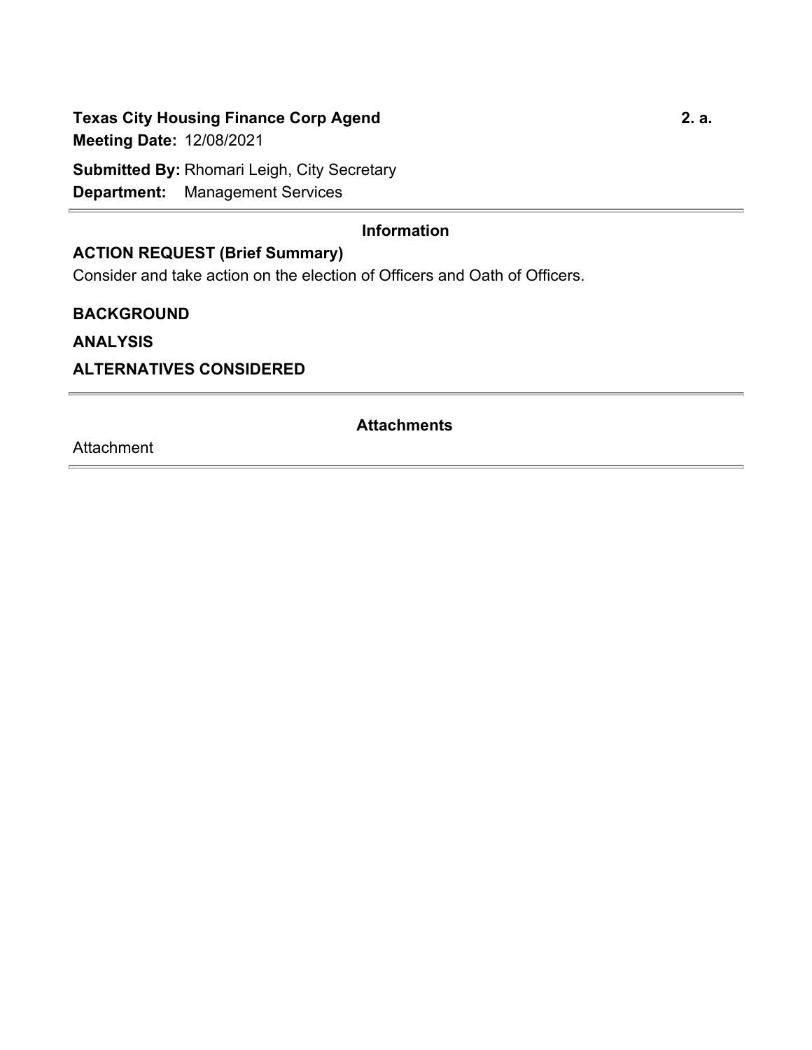# **Texas City Housing Finance Corp Agend 2. a.**

**Meeting Date:** 12/08/2021

**Submitted By:** Rhomari Leigh, City Secretary **Department:** Management Services

# **Information**

# **ACTION REQUEST (Brief Summary)**

Consider and take action on the election of Officers and Oath of Officers.

### **BACKGROUND**

**ANALYSIS**

# **ALTERNATIVES CONSIDERED**

# **Attachments**

**Attachment**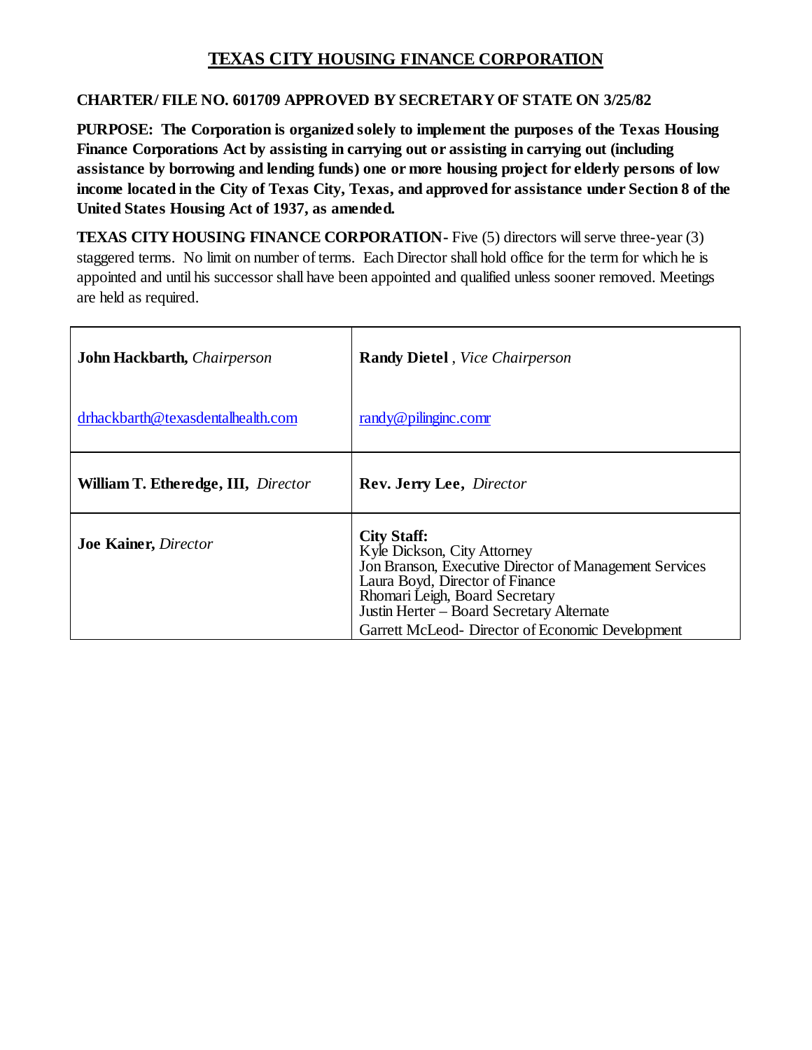# **TEXAS CITY HOUSING FINANCE CORPORATION**

# **CHARTER/ FILE NO. 601709 APPROVED BY SECRETARY OF STATE ON 3/25/82**

**PURPOSE: The Corporation is organized solely to implement the purposes of the Texas Housing Finance Corporations Act by assisting in carrying out or assisting in carrying out (including assistance by borrowing and lending funds) one or more housing project for elderly persons of low income located in the City of Texas City, Texas, and approved for assistance under Section 8 of the United States Housing Act of 1937, as amended.**

**TEXAS CITY HOUSING FINANCE CORPORATION-** Five (5) directors will serve three-year (3) staggered terms. No limit on number of terms. Each Director shall hold office for the term for which he is appointed and until his successor shall have been appointed and qualified unless sooner removed. Meetings are held as required.

| <b>John Hackbarth, Chairperson</b>         | <b>Randy Dietel</b> , Vice Chairperson                                                                                                                                                                                                                                           |
|--------------------------------------------|----------------------------------------------------------------------------------------------------------------------------------------------------------------------------------------------------------------------------------------------------------------------------------|
| drhackbarth@texasdentalhealth.com          | $\text{randy@pilinginc.comr}$                                                                                                                                                                                                                                                    |
| <b>William T. Etheredge, III, Director</b> | <b>Rev. Jerry Lee, Director</b>                                                                                                                                                                                                                                                  |
| <b>Joe Kainer, Director</b>                | <b>City Staff:</b><br>Kyle Dickson, City Attorney<br>Jon Branson, Executive Director of Management Services<br>Laura Boyd, Director of Finance<br>Rhomari Leigh, Board Secretary<br>Justin Herter - Board Secretary Alternate<br>Garrett McLeod-Director of Economic Development |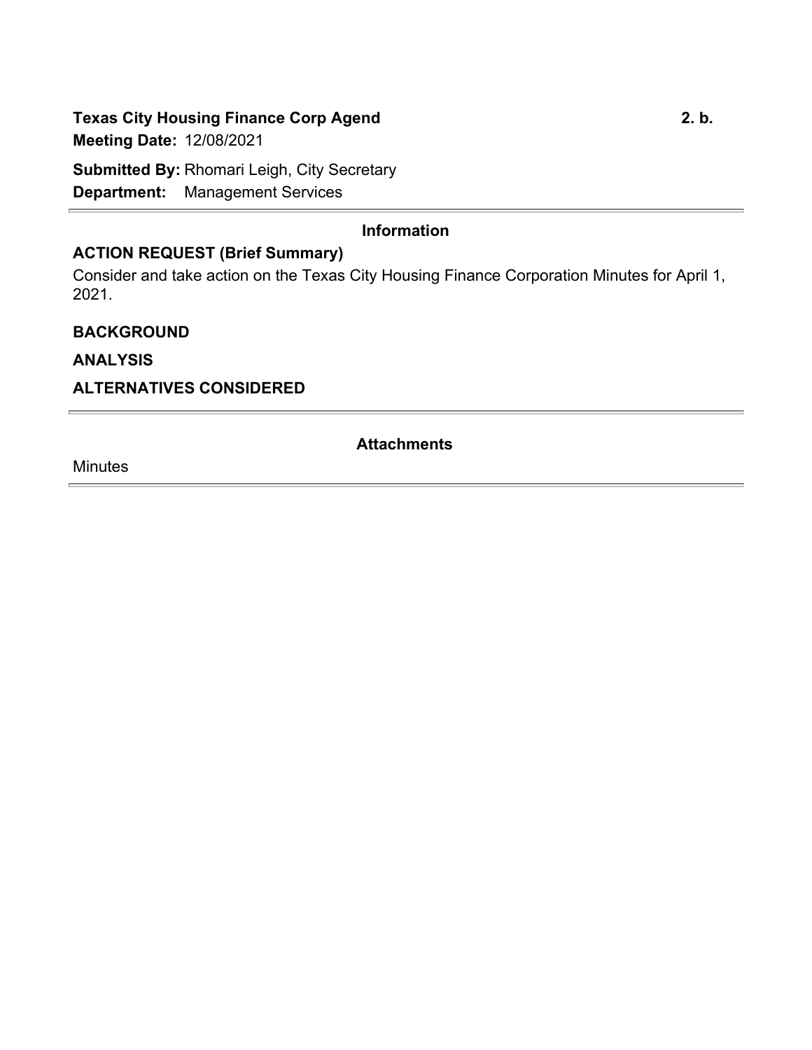# **Texas City Housing Finance Corp Agend 2. b.**

**Meeting Date:** 12/08/2021

**Submitted By:** Rhomari Leigh, City Secretary **Department:** Management Services

# **Information**

# **ACTION REQUEST (Brief Summary)**

Consider and take action on the Texas City Housing Finance Corporation Minutes for April 1, 2021.

# **BACKGROUND**

**ANALYSIS**

# **ALTERNATIVES CONSIDERED**

# **Attachments**

Minutes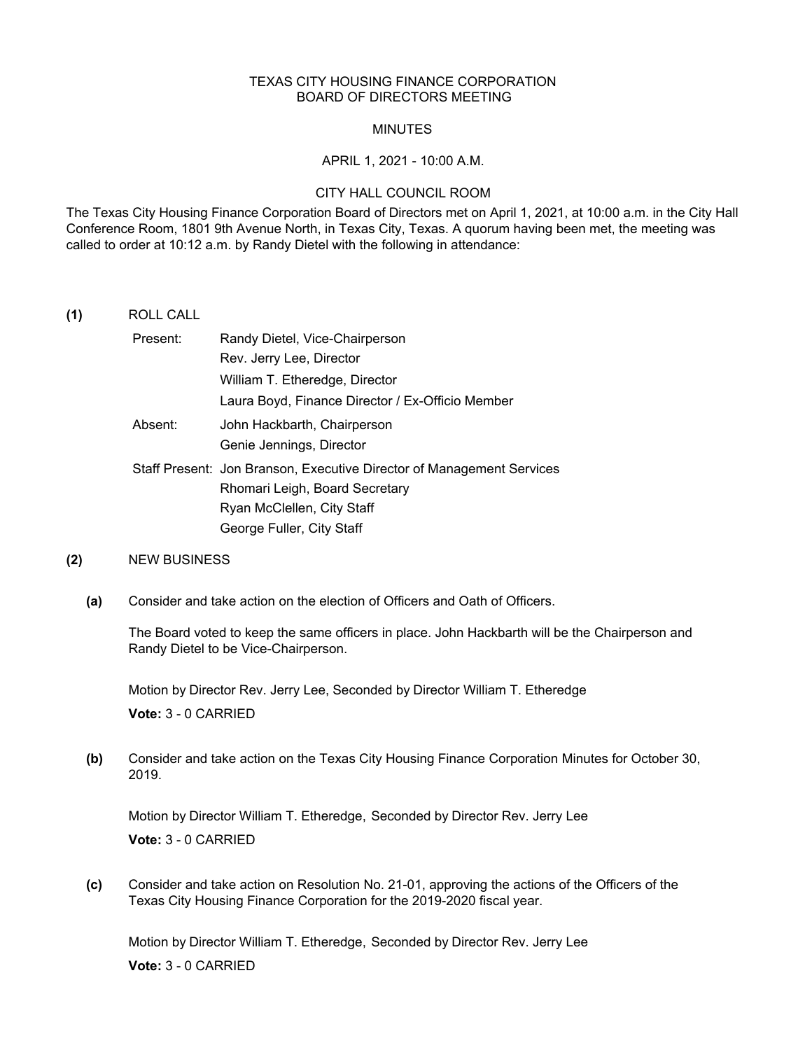#### TEXAS CITY HOUSING FINANCE CORPORATION BOARD OF DIRECTORS MEETING

#### MINUTES

#### APRIL 1, 2021 - 10:00 A.M.

#### CITY HALL COUNCIL ROOM

The Texas City Housing Finance Corporation Board of Directors met on April 1, 2021, at 10:00 a.m. in the City Hall Conference Room, 1801 9th Avenue North, in Texas City, Texas. A quorum having been met, the meeting was called to order at 10:12 a.m. by Randy Dietel with the following in attendance:

#### **(1)** ROLL CALL

| Present: | Randy Dietel, Vice-Chairperson                                        |
|----------|-----------------------------------------------------------------------|
|          | Rev. Jerry Lee, Director                                              |
|          | William T. Etheredge, Director                                        |
|          | Laura Boyd, Finance Director / Ex-Officio Member                      |
| Absent:  | John Hackbarth, Chairperson                                           |
|          | Genie Jennings, Director                                              |
|          | Staff Present: Jon Branson, Executive Director of Management Services |
|          | Rhomari Leigh, Board Secretary                                        |
|          | Ryan McClellen, City Staff                                            |
|          | George Fuller, City Staff                                             |

#### **(2)** NEW BUSINESS

**(a)** Consider and take action on the election of Officers and Oath of Officers.

The Board voted to keep the same officers in place. John Hackbarth will be the Chairperson and Randy Dietel to be Vice-Chairperson.

Motion by Director Rev. Jerry Lee, Seconded by Director William T. Etheredge **Vote:** 3 - 0 CARRIED

**(b)** Consider and take action on the Texas City Housing Finance Corporation Minutes for October 30, 2019.

Motion by Director William T. Etheredge, Seconded by Director Rev. Jerry Lee **Vote:** 3 - 0 CARRIED

**(c)** Consider and take action on Resolution No. 21-01, approving the actions of the Officers of the Texas City Housing Finance Corporation for the 2019-2020 fiscal year.

Motion by Director William T. Etheredge, Seconded by Director Rev. Jerry Lee **Vote:** 3 - 0 CARRIED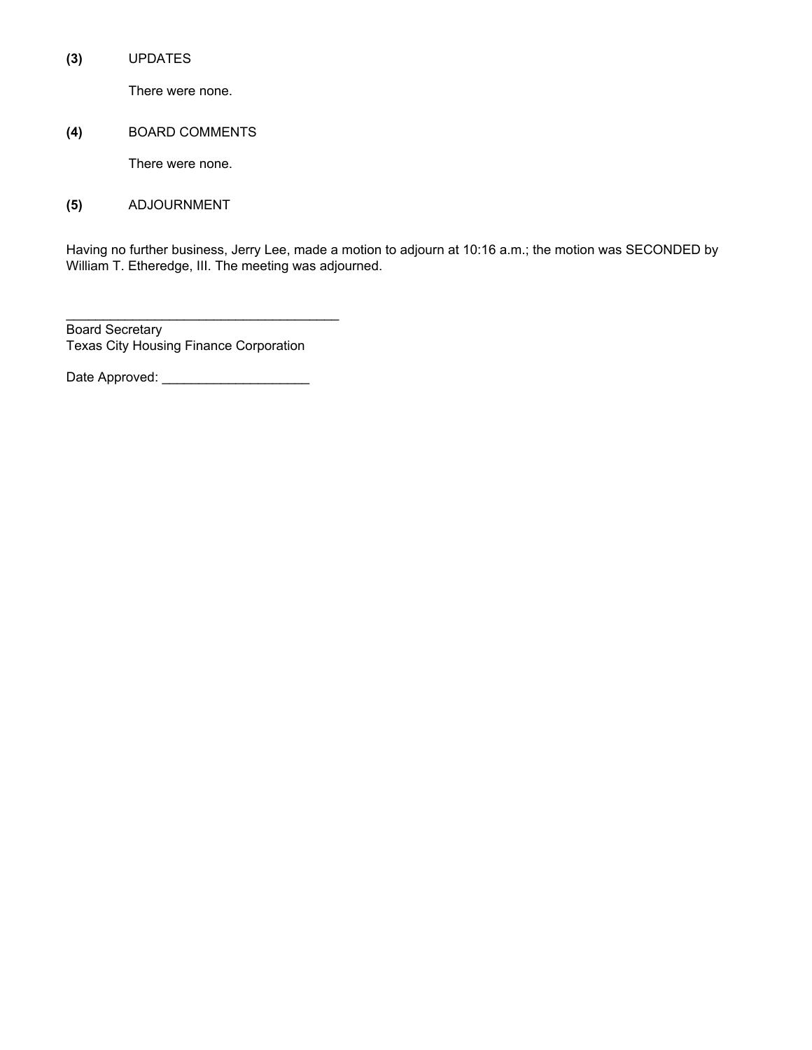**(3)** UPDATES

There were none.

**(4)** BOARD COMMENTS

There were none.

#### **(5)** ADJOURNMENT

Having no further business, Jerry Lee, made a motion to adjourn at 10:16 a.m.; the motion was SECONDED by William T. Etheredge, III. The meeting was adjourned.

Board Secretary Texas City Housing Finance Corporation

\_\_\_\_\_\_\_\_\_\_\_\_\_\_\_\_\_\_\_\_\_\_\_\_\_\_\_\_\_\_\_\_\_\_\_\_\_

Date Approved: \_\_\_\_\_\_\_\_\_\_\_\_\_\_\_\_\_\_\_\_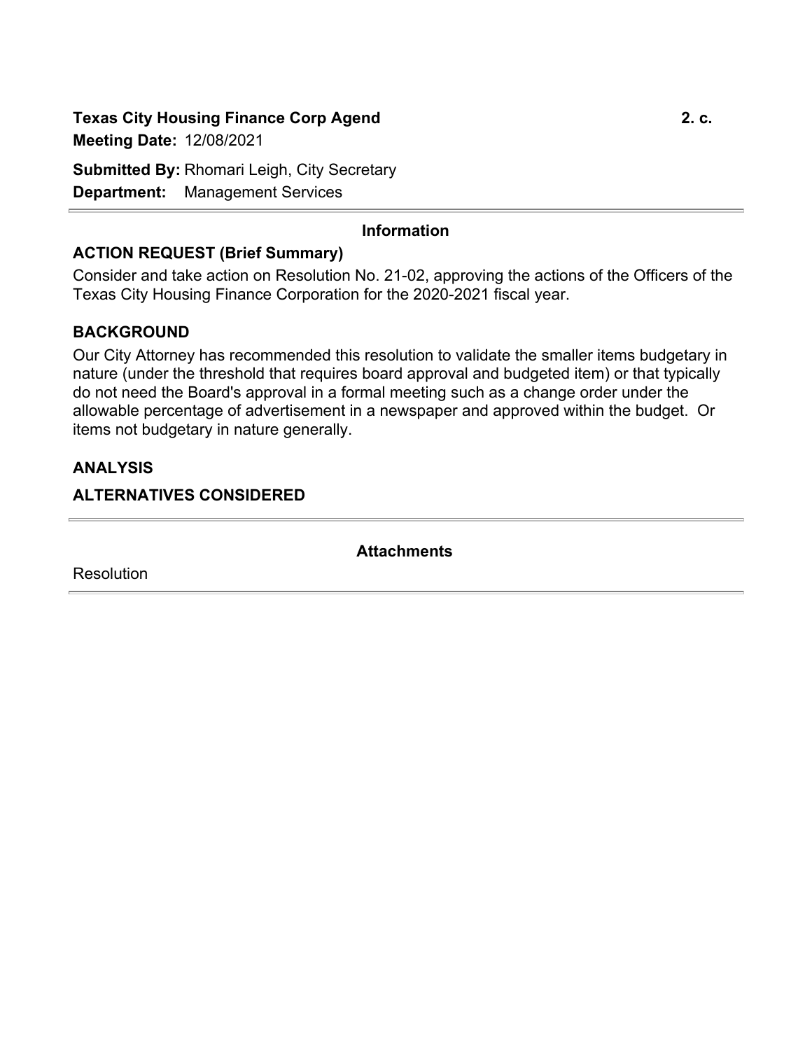# **Texas City Housing Finance Corp Agend 2. c. Meeting Date:** 12/08/2021

**Submitted By:** Rhomari Leigh, City Secretary **Department:** Management Services

# **Information**

# **ACTION REQUEST (Brief Summary)**

Consider and take action on Resolution No. 21-02, approving the actions of the Officers of the Texas City Housing Finance Corporation for the 2020-2021 fiscal year.

# **BACKGROUND**

Our City Attorney has recommended this resolution to validate the smaller items budgetary in nature (under the threshold that requires board approval and budgeted item) or that typically do not need the Board's approval in a formal meeting such as a change order under the allowable percentage of advertisement in a newspaper and approved within the budget. Or items not budgetary in nature generally.

# **ANALYSIS**

# **ALTERNATIVES CONSIDERED**

Resolution

**Attachments**